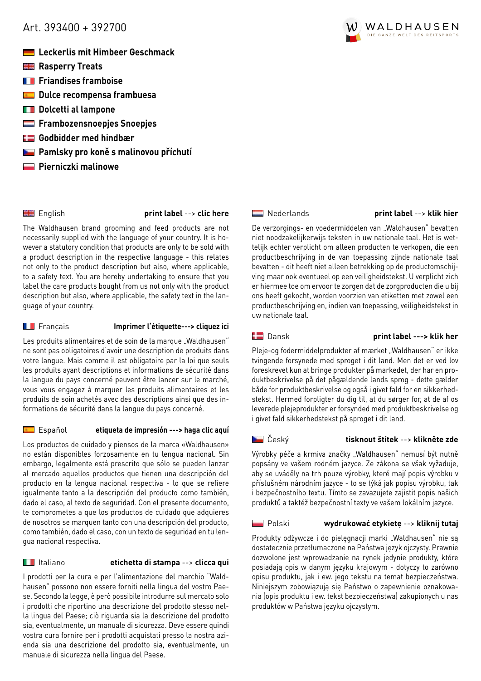# <span id="page-0-0"></span>Art. 393400 + 392700

- **Leckerlis mit Himbeer Geschmack**
- **Rasperry Treats**
- **FRIANDISES** framboise
- **The Dulce recompensa frambuesa**
- **Dolcetti al lampone**
- **Frambozensnoepies Snoepies**
- **Godbidder med hindbær**
- **Pamlsky pro koně s malinovou příchutí**
- **Pierniczki malinowe**

English **[print label](#page-1-0)** --> **clic here**

The Waldhausen brand grooming and feed products are not necessarily supplied with the language of your country. It is however a statutory condition that products are only to be sold with a product description in the respective language - this relates not only to the product description but also, where applicable, to a safety text. You are hereby undertaking to ensure that you label the care products bought from us not only with the product description but also, where applicable, the safety text in the language of your country.

# Français **[Imprimer l'étiquette---> cliquez ici](#page-2-0)**

Les produits alimentaires et de soin de la marque "Waldhausen" ne sont pas obligatoires d'avoir une description de produits dans votre langue. Mais comme il est obligatoire par la loi que seuls les produits ayant descriptions et informations de sécurité dans la langue du pays concerné peuvent être lancer sur le marché, vous vous engagez à marquer les produits alimentaires et les produits de soin achetés avec des descriptions ainsi que des informations de sécurité dans la langue du pays concerné.

# Español **[etiqueta de impresión ---> haga clic aquí](#page-3-0)**

Los productos de cuidado y piensos de la marca «Waldhausen» no están disponibles forzosamente en tu lengua nacional. Sin embargo, legalmente está prescrito que sólo se pueden lanzar al mercado aquellos productos que tienen una descripción del producto en la lengua nacional respectiva - lo que se refiere igualmente tanto a la descripción del producto como también, dado el caso, al texto de seguridad. Con el presente documento, te comprometes a que los productos de cuidado que adquieres de nosotros se marquen tanto con una descripción del producto, como también, dado el caso, con un texto de seguridad en tu lengua nacional respectiva.

# Italiano **[etichetta di stampa](#page-4-0)** --> **clicca qui**

I prodotti per la cura e per l'alimentazione del marchio "Waldhausen" possono non essere forniti nella lingua del vostro Paese. Secondo la legge, è però possibile introdurre sul mercato solo i prodotti che riportino una descrizione del prodotto stesso nella lingua del Paese; ciò riguarda sia la descrizione del prodotto sia, eventualmente, un manuale di sicurezza. Deve essere quindi vostra cura fornire per i prodotti acquistati presso la nostra azienda sia una descrizione del prodotto sia, eventualmente, un manuale di sicurezza nella lingua del Paese.



# [Nederlands](#page-5-0) **print label** --> **klik hier**

De verzorgings- en voedermiddelen van "Waldhausen" bevatten niet noodzakelijkerwijs teksten in uw nationale taal. Het is wettelijk echter verplicht om alleen producten te verkopen, die een productbeschrijving in de van toepassing zijnde nationale taal bevatten - dit heeft niet alleen betrekking op de productomschijving maar ook eventueel op een veiligheidstekst. U verplicht zich er hiermee toe om ervoor te zorgen dat de zorgproducten die u bij ons heeft gekocht, worden voorzien van etiketten met zowel een productbeschrijving en, indien van toepassing, veiligheidstekst in uw nationale taal.

# Dansk **[print label ---> klik her](#page-6-0)**

Pleje-og fodermiddelprodukter af mærket "Waldhausen" er ikke tvingende forsynede med sproget i dit land. Men det er ved lov foreskrevet kun at bringe produkter på markedet, der har en produktbeskrivelse på det pågældende lands sprog - dette gælder både for produktbeskrivelse og også i givet fald for en sikkerhedstekst. Hermed forpligter du dig til, at du sørger for, at de af os leverede plejeprodukter er forsynded med produktbeskrivelse og i givet fald sikkerhedstekst på sproget i dit land.

# Český **[tisknout štítek](#page-7-0)** --> **klikněte zde**

Výrobky péče a krmiva značky "Waldhausen" nemusí být nutně popsány ve vašem rodném jazyce. Ze zákona se však vyžaduje, aby se uváděly na trh pouze výrobky, které mají popis výrobku v příslušném národním jazyce - to se týká jak popisu výrobku, tak i bezpečnostního textu. Tímto se zavazujete zajistit popis našich produktů a taktéž bezpečnostní texty ve vašem lokálním jazyce.

# Polski **[wydrukować etykietę](#page-8-0)** --> **kliknij tutaj**

Produkty odżywcze i do pielęgnacji marki "Waldhausen" nie są dostatecznie przetłumaczone na Państwa język ojczysty. Prawnie dozwolone jest wprowadzanie na rynek jedynie produkty, które posiadają opis w danym języku krajowym - dotyczy to zarówno opisu produktu, jak i ew. jego tekstu na temat bezpieczeństwa. Niniejszym zobowiązują się Państwo o zapewnienie oznakowania (opis produktu i ew. tekst bezpieczeństwa) zakupionych u nas produktów w Państwa języku ojczystym.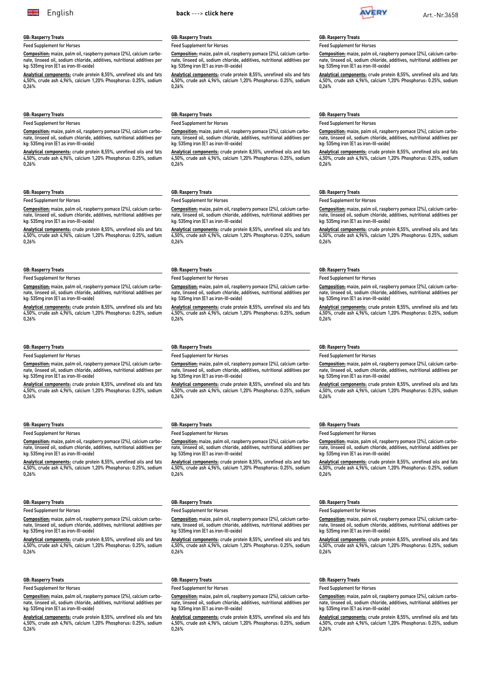<span id="page-1-0"></span>

#### **GB: Rasperry Treats**

Feed Supplement for Horses

**Composition:** maize, palm oil, raspberry pomace (2%), calcium carbonate, linseed oil, sodium chloride, additives, nutritional additives per kg: 535mg iron (E1 as iron-III-oxide)

**Analytical components:** crude protein 8,55%, unrefined oils and fats 4,50%, crude ash 4,96%, calcium 1,20% Phosphorus: 0.25%, sodium 0,26%

#### **GB: Rasperry Treats**

#### Feed Supplement for Horses

**Composition:** maize, palm oil, raspberry pomace (2%), calcium carbonate, linseed oil, sodium chloride, additives, nutritional additives per kg: 535mg iron (E1 as iron-III-oxide)

**Analytical components:** crude protein 8,55%, unrefined oils and fats 4,50%, crude ash 4,96%, calcium 1,20% Phosphorus: 0.25%, sodium 0,26%

#### **GB: Rasperry Treats**

Feed Supplement for Horses

**Composition:** maize, palm oil, raspberry pomace (2%), calcium carbonate, linseed oil, sodium chloride, additives, nutritional additives per kg: 535mg iron (E1 as iron-III-oxide)

**Analytical components:** crude protein 8,55%, unrefined oils and fats 4,50%, crude ash 4,96%, calcium 1,20% Phosphorus: 0.25%, sodium 0,26%

#### **GB: Rasperry Treats**

Feed Supplement for Horses

**Composition:** maize, palm oil, raspberry pomace (2%), calcium carbonate oil, sodium chloride, additives, nutritional additives per kg: 535mg iron (E1 as iron-III-oxide)

**Analytical components:** crude protein 8,55%, unrefined oils and fats 4,50%, crude ash 4,96%, calcium 1,20% Phosphorus: 0.25%, sodium 0,26%

#### **GB: Rasperry Treats**

Feed Supplement for Horses

**Composition:** maize, palm oil, raspberry pomace (2%), calcium carbonate, linseed oil, sodium chloride, additives, nutritional additives per kg: 535mg iron (E1 as iron-III-oxide)

**Analytical components:** crude protein 8,55%, unrefined oils and fats 4,50%, crude ash 4,96%, calcium 1,20% Phosphorus: 0.25%, sodium 0,26%

#### **GB: Rasperry Treats**

Feed Supplement for Horses

**Composition:** maize, palm oil, raspberry pomace (2%), calcium carbonate, linseed oil, sodium chloride, additives, nutritional additives per kg: 535mg iron (E1 as iron-III-oxide)

**Analytical components:** crude protein 8,55%, unrefined oils and fats 4,50%, crude ash 4,96%, calcium 1,20% Phosphorus: 0.25%, sodium 0,26%

#### **GB: Rasperry Treats**

Feed Supplement for Horses

**Composition:** maize, palm oil, raspberry pomace (2%), calcium carbonate, linseed oil, sodium chloride, additives, nutritional additives per kg: 535mg iron (E1 as iron-III-oxide)

**Analytical components:** crude protein 8,55%, unrefined oils and fats 4,50%, crude ash 4,96%, calcium 1,20% Phosphorus: 0.25%, sodium 0,26%

#### **GB: Rasperry Treats**

Feed Supplement for Horses

**Composition:** maize, palm oil, raspberry pomace (2%), calcium carbonate, linseed oil, sodium chloride, additives, nutritional additives per kg: 535mg iron (E1 as iron-III-oxide)

**Analytical components:** crude protein 8,55%, unrefined oils and fats 4,50%, crude ash 4,96%, calcium 1,20% Phosphorus: 0.25%, sodium 0,26%

#### **GB: Rasperry Treats**

#### Feed Supplement for Horses

**Composition:** maize, palm oil, raspberry pomace (2%), calcium carbonate, linseed oil, sodium chloride, additives, nutritional additives per kg: 535mg iron (E1 as iron-III-oxide)

**Analytical components:** crude protein 8,55%, unrefined oils and fats 4,50%, crude ash 4,96%, calcium 1,20% Phosphorus: 0.25%, sodium 0,26%

# **GB: Rasperry Treats**

#### Feed Supplement for Horses

**Composition:** maize, palm oil, raspberry pomace (2%), calcium carbonate, linseed oil, sodium chloride, additives, nutritional additives per kg: 535mg iron (E1 as iron-III-oxide)

**Analytical components:** crude protein 8,55%, unrefined oils and fats 4,50%, crude ash 4,96%, calcium 1,20% Phosphorus: 0.25%, sodium 0,26%

### **GB: Rasperry Treats**

#### Feed Supplement for Horses

**Composition:** maize, palm oil, raspberry pomace (2%), calcium carbonate, linseed oil, sodium chloride, additives, nutritional additives per kg: 535mg iron (E1 as iron-III-oxide)

**Analytical components:** crude protein 8,55%, unrefined oils and fats 4,50%, crude ash 4,96%, calcium 1,20% Phosphorus: 0.25%, sodium 0,26%

#### **GB: Rasperry Treats**

Feed Supplement for Horses

**Composition:** maize, palm oil, raspberry pomace (2%), calcium carbo- $\overline{\text{linesed}}$  oil, sodium chloride, additives, nutritional additives per kg: 535mg iron (E1 as iron-III-oxide)

**Analytical components:** crude protein 8,55%, unrefined oils and fats 4,50%, crude ash 4,96%, calcium 1,20% Phosphorus: 0.25%, sodium 0,26%

# **GB: Rasperry Treats**

Feed Supplement for Horses **Composition:** maize, palm oil, raspberry pomace (2%), calcium carbo-

nature, putter, lines, lines is an additive to the settlement of the settlement of the settlement of the settl kg: 535mg iron (E1 as iron-III-oxide) **Analytical components:** crude protein 8,55%, unrefined oils and fats

4,50%, crude ash 4,96%, calcium 1,20% Phosphorus: 0.25%, sodium 0,26%

#### **GB: Rasperry Treats**

Feed Supplement for Horses

**Composition:** maize, palm oil, raspberry pomace (2%), calcium carbonate, linseed oil, sodium chloride, additives, nutritional additives per kg: 535mg iron (E1 as iron-III-oxide)

**Analytical components:** crude protein 8,55%, unrefined oils and fats 4,50%, crude ash 4,96%, calcium 1,20% Phosphorus: 0.25%, sodium 0,26%

#### **GB: Rasperry Treats**

#### Feed Supplement for Horses

**Composition:** maize, palm oil, raspberry pomace (2%), calcium carbonate, linseed oil, sodium chloride, additives, nutritional additives per kg: 535mg iron (E1 as iron-III-oxide)

**Analytical components:** crude protein 8,55%, unrefined oils and fats 4,50%, crude ash 4,96%, calcium 1,20% Phosphorus: 0.25%, sodium 0,26%

#### **GB: Rasperry Treats**

Feed Supplement for Horses

**Composition:** maize, palm oil, raspberry pomace (2%), calcium carbonate, linseed oil, sodium chloride, additives, nutritional additives per kg: 535mg iron (E1 as iron-III-oxide)

**Analytical components:** crude protein 8,55%, unrefined oils and fats 4,50%, crude ash 4,96%, calcium 1,20% Phosphorus: 0.25%, sodium 0,26%

**GB: Rasperry Treats**

Feed Supplement for Horses

**Composition:** maize, palm oil, raspberry pomace (2%), calcium carbonate, linseed oil, sodium chloride, additives, nutritional additives per kg: 535mg iron (E1 as iron-III-oxide)

**Analytical components:** crude protein 8,55%, unrefined oils and fats 4,50%, crude ash 4,96%, calcium 1,20% Phosphorus: 0.25%, sodium 0,26%

#### **GB: Rasperry Treats** Feed Supplement for Horses

**Composition:** maize, palm oil, raspberry pomace (2%), calcium carbonate, linseed oil, sodium chloride, additives, nutritional additives per kg: 535mg iron (E1 as iron-III-oxide)

**Analytical components:** crude protein 8,55%, unrefined oils and fats 4,50%, crude ash 4,96%, calcium 1,20% Phosphorus: 0.25%, sodium  $0.26%$ 

# **GB: Rasperry Treats**

### Feed Supplement for Horses

**Composition:** maize, palm oil, raspberry pomace (2%), calcium carbonate, linseed oil, sodium chloride, additives, nutritional additives per kg: 535mg iron (E1 as iron-III-oxide)

**Analytical components:** crude protein 8,55%, unrefined oils and fats 4,50%, crude ash 4,96%, calcium 1,20% Phosphorus: 0.25%, sodium 0,26%

#### **GB: Rasperry Treats**

Feed Supplement for Horses

**Composition:** maize, palm oil, raspberry pomace (2%), calcium carbonate, linseed oil, sodium chloride, additives, nutritional additives per kg: 535mg iron (E1 as iron-III-oxide)

**Analytical components:** crude protein 8,55%, unrefined oils and fats 4,50%, crude ash 4,96%, calcium 1,20% Phosphorus: 0.25%, sodium 0,26%

#### **GB: Rasperry Treats**

Feed Supplement for Horses

**Composition:** maize, palm oil, raspberry pomace (2%), calcium carbo-Linseed oil, sodium chloride, additives, nutritional additives per kg: 535mg iron (E1 as iron-III-oxide)

**Analytical components:** crude protein 8,55%, unrefined oils and fats 4,50%, crude ash 4,96%, calcium 1,20% Phosphorus: 0.25%, sodium 0,26%

#### **GB: Rasperry Treats**

Feed Supplement for Horses

#### **Composition:** maize, palm oil, raspberry pomace (2%), calcium carbonation of the line of the line of the line of the line of the line of the line of the line of the line of the<br>Inseed oil, sodium chloride, additives, nutritional additives per kg: 535mg iron (E1 as iron-III-oxide)

**Analytical components:** crude protein 8,55%, unrefined oils and fats 4,50%, crude ash 4,96%, calcium 1,20% Phosphorus: 0.25%, sodium 0,26%

#### **GB: Rasperry Treats**

Feed Supplement for Horses

**Composition:** maize, palm oil, raspberry pomace (2%), calcium carbonate, linseed oil, sodium chloride, additives, nutritional additives per kg: 535mg iron (E1 as iron-III-oxide)

**Analytical components:** crude protein 8,55%, unrefined oils and fats 4,50%, crude ash 4,96%, calcium 1,20% Phosphorus: 0.25%, sodium 0,26%

# **GB: Rasperry Treats**

#### Feed Supplement for Horses

**Composition:** maize, palm oil, raspberry pomace (2%), calcium carbonate, linseed oil, sodium chloride, additives, nutritional additives per kg: 535mg iron (E1 as iron-III-oxide)

**Analytical components:** crude protein 8,55%, unrefined oils and fats 4,50%, crude ash 4,96%, calcium 1,20% Phosphorus: 0.25%, sodium 0,26%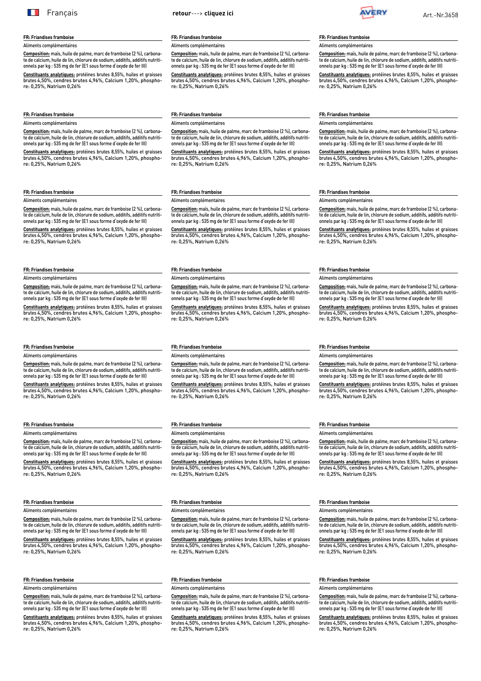<span id="page-2-0"></span>

#### **FR: Friandises framboise**

Aliments complémentaires

**Composition:** maïs, huile de palme, marc de framboise (2 %), carbonate de calcium, huile de lin, chlorure de sodium, additifs, additifs nutritionnels par kg : 535 mg de fer (E1 sous forme d'oxyde de fer III)

**Constituants analytiques:** protéines brutes 8,55%, huiles et graisses brutes 4,50%, cendres brutes 4,96%, Calcium 1,20%, phosphore: 0,25%, Natrium 0,26%

#### **FR: Friandises framboise** Aliments complémentaires

**Composition:** maïs, huile de palme, marc de framboise (2 %), carbonate de calcium, huile de lin, chlorure de sodium, additifs, additifs nutritionnels par kg : 535 mg de fer (E1 sous forme d'oxyde de fer III)

**Constituants analytiques:** protéines brutes 8,55%, huiles et graisses brutes 4,50%, cendres brutes 4,96%, Calcium 1,20%, phosphore: 0,25%, Natrium 0,26%

#### **FR: Friandises framboise**

Aliments complémentaires

**Composition:** maïs, huile de palme, marc de framboise (2 %), carbonate de calcium, huile de lin, chlorure de sodium, additifs, additifs nutritionnels par kg : 535 mg de fer (E1 sous forme d'oxyde de fer III)

**Constituants analytiques:** protéines brutes 8,55%, huiles et graisses brutes 4,50%, cendres brutes 4,96%, Calcium 1,20%, phosphore: 0,25%, Natrium 0,26%

# **FR: Friandises framboise**

Aliments complémentaires

**Composition:** maïs, huile de palme, marc de framboise (2 %), carbonate de calcium, huile de lin, chlorure de sodium, additifs, additifs nutritionnels par kg : 535 mg de fer (E1 sous forme d'oxyde de fer III)

**Constituants analytiques:** protéines brutes 8,55%, huiles et graisses brutes 4,50%, cendres brutes 4,96%, Calcium 1,20%, phosphore: 0,25%, Natrium 0,26%

#### **FR: Friandises framboise**

Aliments complémentaires

**Composition:** maïs, huile de palme, marc de framboise (2 %), carbonate de calcium, huile de lin, chlorure de sodium, additifs, additifs nutritionnels par kg : 535 mg de fer (E1 sous forme d'oxyde de fer III)

**Constituants analytiques:** protéines brutes 8,55%, huiles et graisses brutes 4,50%, cendres brutes 4,96%, Calcium 1,20%, phosphore: 0,25%, Natrium 0,26%

#### **FR: Friandises framboise**

Aliments complémentaires

**Composition:** maïs, huile de palme, marc de framboise (2 %), carbonate de calcium, huile de lin, chlorure de sodium, additifs, additifs nutritionnels par kg : 535 mg de fer (E1 sous forme d'oxyde de fer III)

**Constituants analytiques:** protéines brutes 8,55%, huiles et graisses brutes 4,50%, cendres brutes 4,96%, Calcium 1,20%, phosphore: 0,25%, Natrium 0,26%

#### **FR: Friandises framboise**

Aliments complémentaires

**Composition:** maïs, huile de palme, marc de framboise (2 %), carbonate de calcium, huile de lin, chlorure de sodium, additifs, additifs nutritionnels par kg : 535 mg de fer (E1 sous forme d'oxyde de fer III)

**Constituants analytiques:** protéines brutes 8,55%, huiles et graisses brutes 4,50%, cendres brutes 4,96%, Calcium 1,20%, phosphore: 0,25%, Natrium 0,26%

#### **FR: Friandises framboise**

Aliments complémentaires

**Composition:** maïs, huile de palme, marc de framboise (2 %), carbonate de calcium, huile de lin, chlorure de sodium, additifs, additifs nutritionnels par kg : 535 mg de fer (E1 sous forme d'oxyde de fer III)

**Constituants analytiques:** protéines brutes 8,55%, huiles et graisses brutes 4,50%, cendres brutes 4,96%, Calcium 1,20%, phosphore: 0,25%, Natrium 0,26%

#### **FR: Friandises framboise**

Aliments complémentaires

**Composition:** maïs, huile de palme, marc de framboise (2 %), carbonate de calcium, huile de lin, chlorure de sodium, additifs, additifs nutritionnels par kg : 535 mg de fer (E1 sous forme d'oxyde de fer III)

**Constituants analytiques:** protéines brutes 8,55%, huiles et graisses brutes 4,50%, cendres brutes 4,96%, Calcium 1,20%, phosphore: 0,25%, Natrium 0,26%

### **FR: Friandises framboise**

### Aliments complémentaires

**Composition:** maïs, huile de palme, marc de framboise (2 %), carbonate de calcium, huile de lin, chlorure de sodium, additifs, additifs nutritionnels par kg : 535 mg de fer (E1 sous forme d'oxyde de fer III)

**Constituants analytiques:** protéines brutes 8,55%, huiles et graisses brutes 4,50%, cendres brutes 4,96%, Calcium 1,20%, phosphore: 0,25%, Natrium 0,26%

#### **FR: Friandises framboise**

#### Aliments complémentaires

**Composition:** maïs, huile de palme, marc de framboise (2 %), carbonate de calcium, huile de lin, chlorure de sodium, additifs, additifs nutritionnels par kg : 535 mg de fer (E1 sous forme d'oxyde de fer III)

Constituants analytiques: protéines brutes 8,55%, huiles et grais brutes 4,50%, cendres brutes 4,96%, Calcium 1,20%, phosphore: 0,25%, Natrium 0,26%

#### **FR: Friandises framboise**

Aliments complémentaires

**Composition:** maïs, huile de palme, marc de framboise (2 %), carbonate de calcium, huile de lin, chlorure de sodium, additifs, additifs nutritionnels par kg : 535 mg de fer (E1 sous forme d'oxyde de fer III)

**Constituants analytiques:** protéines brutes 8,55%, huiles et graisses brutes 4,50%, cendres brutes 4,96%, Calcium 1,20%, phosphore: 0,25%, Natrium 0,26%

#### **FR: Friandises framboise** Aliments complémentaires

**Composition:** maïs, huile de palme, marc de framboise (2 %), carbonate de calcium, huile de lin, chlorure de sodium, additifs, additifs nutritionnels par kg : 535 mg de fer (E1 sous forme d'oxyde de fer III)

**Constituants analytiques:** protéines brutes 8,55%, huiles et graisses brutes 4,50%, cendres brutes 4,96%, Calcium 1,20%, phosphore: 0,25%, Natrium 0,26%

#### **FR: Friandises framboise**

Aliments complémentaires

**Composition:** maïs, huile de palme, marc de framboise (2 %), carbonate de calcium, huile de lin, chlorure de sodium, additifs, additifs nutritionnels par kg : 535 mg de fer (E1 sous forme d'oxyde de fer III)

**Constituants analytiques:** protéines brutes 8,55%, huiles et graisses brutes 4,50%, cendres brutes 4,96%, Calcium 1,20%, phosphore: 0,25%, Natrium 0,26%

#### **FR: Friandises framboise**

#### Aliments complémentaires

**Composition:** maïs, huile de palme, marc de framboise (2 %), carbonate de calcium, huile de lin, chlorure de sodium, additifs, additifs nutritionnels par kg : 535 mg de fer (E1 sous forme d'oxyde de fer III)

**Constituants analytiques:** protéines brutes 8,55%, huiles et graisses brutes 4,50%, cendres brutes 4,96%, Calcium 1,20%, phosphore: 0,25%, Natrium 0,26%

#### **FR: Friandises framboise**

Aliments complémentaires

**Composition:** maïs, huile de palme, marc de framboise (2 %), carbonate de calcium, huile de lin, chlorure de sodium, additifs, additifs nutritionnels par kg : 535 mg de fer (E1 sous forme d'oxyde de fer III)

**Constituants analytiques:** protéines brutes 8,55%, huiles et graisses brutes 4,50%, cendres brutes 4,96%, Calcium 1,20%, phosphore: 0,25%, Natrium 0,26%

# **FR: Friandises framboise**

Aliments complémentaires

**Composition:** maïs, huile de palme, marc de framboise (2 %), carbonate de calcium, huile de lin, chlorure de sodium, additifs, additifs nutritionnels par kg : 535 mg de fer (E1 sous forme d'oxyde de fer III)

**Constituants analytiques:** protéines brutes 8,55%, huiles et graisses brutes 4,50%, cendres brutes 4,96%, Calcium 1,20%, phosphore: 0,25%, Natrium 0,26%

### **FR: Friandises framboise**

### Aliments complémentaires

**Composition:** maïs, huile de palme, marc de framboise (2 %), carbonate de calcium, huile de lin, chlorure de sodium, additifs, additifs nutritionnels par kg : 535 mg de fer (E1 sous forme d'oxyde de fer III)

**Constituants analytiques:** protéines brutes 8,55%, huiles et graisses brutes 4,50%, cendres brutes 4,96%, Calcium 1,20%, phospho-re: 0,25%, Natrium 0,26%

#### **FR: Friandises framboise**

#### Aliments complémentaires

**Composition:** maïs, huile de palme, marc de framboise (2 %), carbonate de calcium, huile de lin, chlorure de sodium, additifs, additifs nutritionnels par kg : 535 mg de fer (E1 sous forme d'oxyde de fer III)

**Constituants analytiques:** protéines brutes 8,55%, huiles et graisses brutes 4,50%, cendres brutes 4,96%, Calcium 1,20%, phosphore: 0,25%, Natrium 0,26%

#### **FR: Friandises framboise**

Aliments complémentaires

**Composition:** maïs, huile de palme, marc de framboise (2 %), carbonate de calcium, huile de lin, chlorure de sodium, additifs, additifs nutritionnels par kg : 535 mg de fer (E1 sous forme d'oxyde de fer III)

**Constituants analytiques:** protéines brutes 8,55%, huiles et graisses brutes 4,50%, cendres brutes 4,96%, Calcium 1,20%, phosphore: 0,25%, Natrium 0,26%

#### **FR: Friandises framboise**

Aliments complémentaires

**Composition:** maïs, huile de palme, marc de framboise (2 %), carbonate de calcium, huile de lin, chlorure de sodium, additifs, additifs nutritionnels par kg : 535 mg de fer (E1 sous forme d'oxyde de fer III)

**Constituants analytiques:** protéines brutes 8,55%, huiles et graisses brutes 4,50%, cendres brutes 4,96%, Calcium 1,20%, phosphore: 0,25%, Natrium 0,26%

#### **FR: Friandises framboise**

Aliments complémentaires

**Composition:** maïs, huile de palme, marc de framboise (2 %), carbonate de calcium, huile de lin, chlorure de sodium, additifs, additifs nutritionnels par kg : 535 mg de fer (E1 sous forme d'oxyde de fer III)

**Constituants analytiques:** protéines brutes 8,55%, huiles et graisses brutes 4,50%, cendres brutes 4,96%, Calcium 1,20%, phosphore: 0,25%, Natrium 0,26%

#### **FR: Friandises framboise**

#### Aliments complémentaires

**Composition:** maïs, huile de palme, marc de framboise (2 %), carbonate de calcium, huile de lin, chlorure de sodium, additifs, additifs nutritionnels par kg : 535 mg de fer (E1 sous forme d'oxyde de fer III)

**Constituants analytiques:** protéines brutes 8,55%, huiles et graisses brutes 4,50%, cendres brutes 4,96%, Calcium 1,20%, phosphore: 0,25%, Natrium 0,26%

#### **FR: Friandises framboise**

Aliments complémentaires

**Composition:** maïs, huile de palme, marc de framboise (2 %), carbonate de calcium, huile de lin, chlorure de sodium, additifs, additifs nutritionnels par kg : 535 mg de fer (E1 sous forme d'oxyde de fer III)

**Constituants analytiques:** protéines brutes 8,55%, huiles et graisses **bonstitudints analytiques:** proteines brates 6,00%, haltes et grafises<br>brutes 4,50%, cendres brutes 4,96%, Calcium 1,20%, phosphore: 0,25%, Natrium 0,26%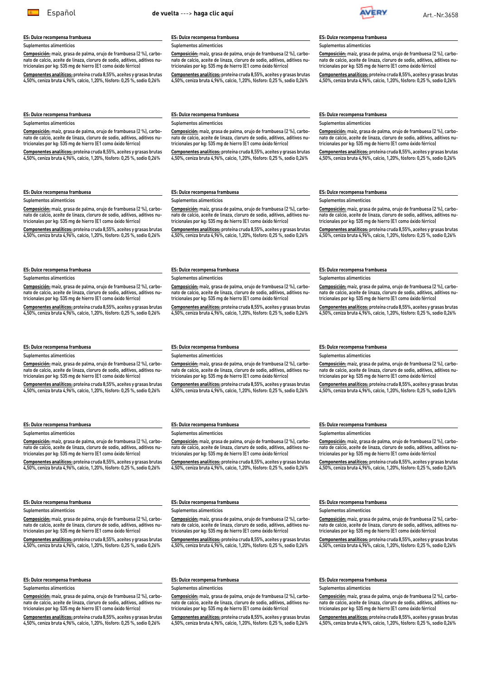**Composición:** maíz, grasa de palma, orujo de frambuesa (2 %), carbonato de calcio, aceite de linaza, cloruro de sodio, aditivos, aditivos nutricionales por kg: 535 mg de hierro (E1 como óxido férrico)

**Componentes analíticos:** proteína cruda 8,55%, aceites y grasas brutas 4,50%, ceniza bruta 4,96%, calcio, 1,20%, fósforo: 0,25 %, sodio 0,26%

> **Composición:** maíz, grasa de palma, orujo de frambuesa (2 %), carbonato de calcio, aceite de linaza, cloruro de sodio, aditivos, aditivos nutricionales por kg: 535 mg de hierro (E1 como óxido férrico)

> **Componentes analíticos:** proteína cruda 8,55%, aceites y grasas brutas 4,50%, ceniza bruta 4,96%, calcio, 1,20%, fósforo: 0,25 %, sodio 0,26%

#### **ES: Dulce recompensa frambuesa**

Suplementos alimenticios

**Composición:** maíz, grasa de palma, orujo de frambuesa (2 %), carbonato de calcio, aceite de linaza, cloruro de sodio, aditivos, aditivos nutricionales por kg: 535 mg de hierro (E1 como óxido férrico)

tricionales por kg: 535 mg de hierro (E1 como óxido férrico) **Componentes analíticos:** proteína cruda 8,55%, aceites y grasas brutas 4,50%, ceniza bruta 4,96%, calcio, 1,20%, fósforo: 0,25 %, sodio 0,26%

**Componentes analíticos:** proteína cruda 8,55%, aceites y grasas brutas  $4,50\%$  ceniza bruta  $4,96\%$  calcio, 1,20% fósforo: 0,25 % sodio 0,26%

## **ES: Dulce recompensa frambuesa**

Suplementos alimenticios

**Composición:** maíz, grasa de palma, orujo de frambuesa (2 %), carbonato de calcio, aceite de linaza, cloruro de sodio, aditivos, aditivos nutricionales por kg: 535 mg de hierro (E1 como óxido férrico)

**Componentes analíticos:** proteína cruda 8,55%, aceites y grasas brutas 4,50%, ceniza bruta 4,96%, calcio, 1,20%, fósforo: 0,25 %, sodio 0,26%

### **ES: Dulce recompensa frambuesa**

Suplementos alimenticios

**Composición:** maíz, grasa de palma, orujo de frambuesa (2 %), carbonato de calcio, aceite de linaza, cloruro de sodio, aditivos, aditivos nutricionales por kg: 535 mg de hierro (E1 como óxido férrico)

**Componentes analíticos:** proteína cruda 8,55%, aceites y grasas brutas 4,50%, ceniza bruta 4,96%, calcio, 1,20%, fósforo: 0,25 %, sodio 0,26%

#### **ES: Dulce recompensa frambuesa**

Suplementos alimenticios

**Composición:** maíz, grasa de palma, orujo de frambuesa (2 %), carbonato de calcio, aceite de linaza, cloruro de sodio, aditivos, aditivos nutricionales por kg: 535 mg de hierro (E1 como óxido férrico)

**Componentes analíticos:** proteína cruda 8,55%, aceites y grasas brutas 4,50%, ceniza bruta 4,96%, calcio, 1,20%, fósforo: 0,25 %, sodio 0,26%

#### **ES: Dulce recompensa frambuesa**

**ES: Dulce recompensa frambuesa** Suplementos alimenticios

#### Suplementos alimenticios

**Composición:** maíz, grasa de palma, orujo de frambuesa (2 %), carbonato de calcio, aceite de linaza, cloruro de sodio, aditivos, aditivos nutricionales por kg: 535 mg de hierro (E1 como óxido férrico)

**Componentes analíticos:** proteína cruda 8,55%, aceites y grasas brutas 4,50%, ceniza bruta 4,96%, calcio, 1,20%, fósforo: 0,25 %, sodio 0,26%

**Composición:** maíz, grasa de palma, orujo de frambuesa (2 %), carbonato de calcio, aceite de linaza, cloruro de sodio, aditivos, aditivos nutricionales por kg: 535 mg de hierro (E1 como óxido férrico) **Componentes analíticos:** proteína cruda 8,55%, aceites y grasas brutas 4,50%, ceniza bruta 4,96%, calcio, 1,20%, fósforo: 0,25 %, sodio 0,26%

#### **ES: Dulce recompensa frambuesa**

Suplementos alimenticios

**Composición:** maíz, grasa de palma, orujo de frambuesa (2 %), carbonato de calcio, aceite de linaza, cloruro de sodio, aditivos, aditivos nutricionales por kg: 535 mg de hierro (E1 como óxido férrico)

**Componentes analíticos:** proteína cruda 8,55%, aceites y grasas brutas 4,50%, ceniza bruta 4,96%, calcio, 1,20%, fósforo: 0,25 %, sodio 0,26%

#### **ES: Dulce recompensa frambuesa**

Suplementos alimenticios

**Composición:** maíz, grasa de palma, orujo de frambuesa (2 %), carbonato de calcio, aceite de linaza, cloruro de sodio, aditivos, aditivos nutricionales por kg: 535 mg de hierro (E1 como óxido férrico)

**Componentes analíticos:** proteína cruda 8,55%, aceites y grasas brutas 4,50%, ceniza bruta 4,96%, calcio, 1,20%, fósforo: 0,25 %, sodio 0,26%

**ES: Dulce recompensa frambuesa**

Suplementos alimenticios

**Composición:** maíz, grasa de palma, orujo de frambuesa (2 %), carbonato de calcio, aceite de linaza, cloruro de sodio, aditivos, aditivos nutricionales por kg: 535 mg de hierro (E1 como óxido férrico)

**Componentes analíticos:** proteína cruda 8,55%, aceites y grasas brutas 4,50%, ceniza bruta 4,96%, calcio, 1,20%, fósforo: 0,25 %, sodio 0,26%

**ES: Dulce recompensa frambuesa** Suplementos alimenticios

**ES: Dulce recompensa frambuesa**

Suplementos alimenticios

**Composición:** maíz, grasa de palma, orujo de frambuesa (2 %), carbonato de calcio, aceite de linaza, cloruro de sodio, aditivos, aditivos nutricionales por kg: 535 mg de hierro (E1 como óxido férrico)

**Componentes analíticos:** proteína cruda 8,55%, aceites y grasas brutas 4,50%, ceniza bruta 4,96%, calcio, 1,20%, fósforo: 0,25 %, sodio 0,26%

### **ES: Dulce recompensa frambuesa**

#### Suplementos alimenticios

**Composición:** maíz, grasa de palma, orujo de frambuesa (2 %), carbonato de calcio, aceite de linaza, cloruro de sodio, aditivos, aditivos nutricionales por kg: 535 mg de hierro (E1 como óxido férrico)

**Componentes analíticos:** proteína cruda 8,55%, aceites y grasas brutas 4,50%, ceniza bruta 4,96%, calcio, 1,20%, fósforo: 0,25 %, sodio 0,26%

#### **ES: Dulce recompensa frambuesa**

#### Suplementos alimenticios

**Composición:** maíz, grasa de palma, orujo de frambuesa (2 %), carbonato de calcio, aceite de linaza, cloruro de sodio, aditivos, aditivos nutricionales por kg: 535 mg de hierro (E1 como óxido férrico)

**Componentes analíticos:** proteína cruda 8,55%, aceites y grasas brutas 4,50%, ceniza bruta 4,96%, calcio, 1,20%, fósforo: 0,25 %, sodio 0,26%

**ES: Dulce recompensa frambuesa**

**ES: Dulce recompensa frambuesa** Suplementos alimenticios

nato de calcio, aceite de linaza, cloruro de sodio, aditivos, aditivos nutricionales por kg: 535 mg de hierro (E1 como óxido férrico)

4,50%, ceniza bruta 4,96%, calcio, 1,20%, fósforo: 0,25 %, sodio 0,26%

**Composición:** maíz, grasa de palma, orujo de frambuesa (2 %), carbonato de calcio, aceite de linaza, cloruro de sodio, aditivos, aditivos nutricionales por kg: 535 mg de hierro (E1 como óxido férrico) **Componentes analíticos:** proteína cruda 8,55%, aceites y grasas brutas 4,50%, ceniza bruta 4,96%, calcio, 1,20%, fósforo: 0,25 %, sodio 0,26%

**Composición:** maíz, grasa de palma, orujo de frambuesa (2 %), carbonato de calcio, aceite de linaza, cloruro de sodio, aditivos, aditivos nutricionales por kg: 535 mg de hierro (E1 como óxido férrico) **Componentes analíticos:** proteína cruda 8,55%, aceites y grasas brutas 4,50%, ceniza bruta 4,96%, calcio, 1,20%, fósforo: 0,25 %, sodio 0,26%

**Composición:** maíz, grasa de palma, orujo de frambuesa (2 %), carbo-

**Componentes analíticos:** proteína cruda 8,55%, aceites y grasas brutas

### **ES: Dulce recompensa frambuesa**

#### ementos alimenticios

Suplementos alimenticios

**ES: Dulce recompensa frambuesa Composición:** maíz, grasa de palma, orujo de frambuesa (2 %), carbo-**ES: Dulce recompensa frambuesa** Suplementos alimenticios **Composición:** maíz, grasa de palma, orujo de frambuesa (2 %), carbonato de calcio, aceite de linaza, cloruro de sodio, aditivos, aditivos nutricionales por kg: 535 mg de hierro (E1 como óxido férrico) **Componentes analíticos:** proteína cruda 8,55%, aceites y grasas brutas 4,50%, ceniza bruta 4,96%, calcio, 1,20%, fósforo: 0,25 %, sodio 0,26% **ES: Dulce recompensa frambuesa** Suplementos alimenticios **ES: Dulce recompensa frambuesa** Suplementos alimenticios **Composición:** maíz, grasa de palma, orujo de frambuesa (2 %), carbonato de calcio, aceite de linaza, cloruro de sodio, aditivos, aditivos nutricionales por kg: 535 mg de hierro (E1 como óxido férrico) **Componentes analíticos:** proteína cruda 8,55%, aceites y grasas brutas 4,50%, ceniza bruta 4,96%, calcio, 1,20%, fósforo: 0,25 %, sodio 0,26% **ES: Dulce recompensa frambuesa** Suplementos alimenticios

nato de calcio, aceite de linaza, cloruro de sodio, aditivos, aditivos nu-**Composición:** maíz, grasa de palma, orujo de frambuesa (2 %), carbonato de calcio, aceite de linaza, cloruro de sodio, aditivos, aditivos nutricionales por kg: 535 mg de hierro (E1 como óxido férrico)

> **Componentes analíticos:** proteína cruda 8,55%, aceites y grasas brutas 4,50%, ceniza bruta 4,96%, calcio, 1,20%, fósforo: 0,25 %, sodio 0,26%

> **Composición:** maíz, grasa de palma, orujo de frambuesa (2 %), carbonato de calcio, aceite de linaza, cloruro de sodio, aditivos, aditivos nutricionales por kg: 535 mg de hierro (E1 como óxido férrico)

# <span id="page-3-0"></span>Español **de vuelta** ---> **[haga clic aquí](#page-0-0)** Art.-Nr.3658

**Componentes analíticos:** proteína cruda 8,55%, aceites y grasas brutas  $4.50\%$  ceniza bruta 4,96%, calcio, 1,20%, fósforo: 0,25 %, sodio 0,26%

**ES: Dulce recompensa frambuesa** Suplementos alimenticios

#### **ES: Dulce recompensa frambuesa**

Suplementos alimenticios

**Composición:** maíz, grasa de palma, orujo de frambuesa (2 %), carbonatorio.<br>e calcio, aceite de linaza, cloruro de sodio, aditivos, aditivos nutricionales por kg: 535 mg de hierro (E1 como óxido férrico)

**Componentes analíticos:** proteína cruda 8,55%, aceites y grasas brutas 4,50%, ceniza bruta 4,96%, calcio, 1,20%, fósforo: 0,25 %, sodio 0,26%

**ES: Dulce recompensa frambuesa** Suplementos alimenticios

**Composición:** maíz, grasa de palma, orujo de frambuesa (2 %), carbo-

# nato de calcio, aceite de linaza, cloruro de sodio, aditivos, aditivos nutricionales por kg: 535 mg de hierro (E1 como óxido férrico) Suplementos alimenticios

**Componentes analíticos:** proteína cruda 8,55%, aceites y grasas brutas 4,50%, ceniza bruta 4,96%, calcio, 1,20%, fósforo: 0,25 %, sodio 0,26%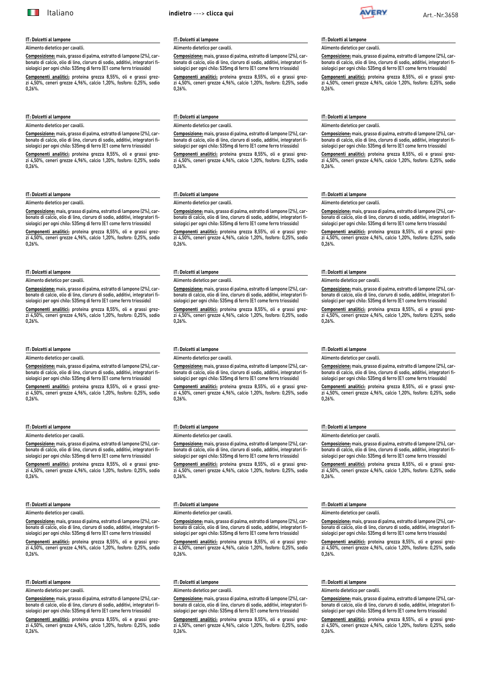#### <span id="page-4-0"></span>**IT: Dolcetti al lampone**

Alimento dietetico per cavalli.

**Composizione:** mais, grasso di palma, estratto di lampone (2%), carbonato di calcio, olio di lino, cloruro di sodio, additivi, integratori fisiologici per ogni chilo: 535mg di ferro (E1 come ferro triossido)

**Componenti analitici:** proteina grezza 8,55%, oli e grassi grezzi 4,50%, ceneri grezze 4,96%, calcio 1,20%, fosforo: 0,25%, sodio 0,26%.

### **IT: Dolcetti al lampone**

Alimento dietetico per cavalli.

**Composizione:** mais, grasso di palma, estratto di lampone (2%), carbonato di calcio, olio di lino, cloruro di sodio, additivi, integratori fisiologici per ogni chilo: 535mg di ferro (E1 come ferro triossido)

**Componenti analitici:** proteina grezza 8,55%, oli e grassi grezzi 4,50%, ceneri grezze 4,96%, calcio 1,20%, fosforo: 0,25%, sodio 0,26%.

#### **IT: Dolcetti al lampone**

Alimento dietetico per cavalli.

**Composizione:** mais, grasso di palma, estratto di lampone (2%), carbonato di calcio, olio di lino, cloruro di sodio, additivi, integratori fisiologici per ogni chilo: 535mg di ferro (E1 come ferro triossido)

**Componenti analitici:** proteina grezza 8,55%, oli e grassi grezzi 4,50%, ceneri grezze 4,96%, calcio 1,20%, fosforo: 0,25%, sodio 0,26%.

### **IT: Dolcetti al lampone**

Alimento dietetico per cavalli.

**Composizione:** mais, grasso di palma, estratto di lampone (2%), carbonato di calcio, olio di lino, cloruro di sodio, additivi, integratori fisiologici per ogni chilo: 535mg di ferro (E1 come ferro triossido)

**Componenti analitici:** proteina grezza 8,55%, oli e grassi grezzi 4,50%, ceneri grezze 4,96%, calcio 1,20%, fosforo: 0,25%, sodio 0,26%.

#### **IT: Dolcetti al lampone**

Alimento dietetico per cavalli.

**Composizione:** mais, grasso di palma, estratto di lampone (2%), carbonato di calcio, olio di lino, cloruro di sodio, additivi, integratori fisiologici per ogni chilo: 535mg di ferro (E1 come ferro triossido)

**Componenti analitici:** proteina grezza 8,55%, oli e grassi grezzi 4,50%, ceneri grezze 4,96%, calcio 1,20%, fosforo: 0,25%, sodio 0,26%.

#### **IT: Dolcetti al lampone** Alimento dietetico per cavalli.

**Composizione:** mais, grasso di palma, estratto di lampone (2%), carbonato di calcio, olio di lino, cloruro di sodio, additivi, integratori fi-

siologici per ogni chilo: 535mg di ferro (E1 come ferro triossido) **Componenti analitici:** proteina grezza 8,55%, oli e grassi grezzi 4,50%, ceneri grezze 4,96%, calcio 1,20%, fosforo: 0,25%, sodio 0,26%.

#### **IT: Dolcetti al lampone**

Alimento dietetico per cavalli.

**Composizione:** mais, grasso di palma, estratto di lampone (2%), carbonato di calcio, olio di lino, cloruro di sodio, additivi, integratori fisiologici per ogni chilo: 535mg di ferro (E1 come ferro triossido)

**Componenti analitici:** proteina grezza 8,55%, oli e grassi grezzi 4,50%, ceneri grezze 4,96%, calcio 1,20%, fosforo: 0,25%, sodio 0,26%.

#### **IT: Dolcetti al lampone**

Alimento dietetico per cavalli.

**Composizione:** mais, grasso di palma, estratto di lampone (2%), carbonato di calcio, olio di lino, cloruro di sodio, additivi, integratori fisiologici per ogni chilo: 535mg di ferro (E1 come ferro triossido)

**Componenti analitici:** proteina grezza 8,55%, oli e grassi grezzi 4,50%, ceneri grezze 4,96%, calcio 1,20%, fosforo: 0,25%, sodio  $0.26%$ 

#### **IT: Dolcetti al lampone**

Alimento dietetico per cavalli.

**Composizione:** mais, grasso di palma, estratto di lampone (2%), carbonato di calcio, olio di lino, cloruro di sodio, additivi, integratori fisiologici per ogni chilo: 535mg di ferro (E1 come ferro triossido)

**Componenti analitici:** proteina grezza 8,55%, oli e grassi grezzi 4,50%, ceneri grezze 4,96%, calcio 1,20%, fosforo: 0,25%, sodio 0,26%.

#### **IT: Dolcetti al lampone** Alimento dietetico per cavalli.

**Composizione:** mais, grasso di palma, estratto di lampone (2%), carbonato di calcio, olio di lino, cloruro di sodio, additivi, integratori fi-

siologici per ogni chilo: 535mg di ferro (E1 come ferro triossido) **Componenti analitici:** proteina grezza 8,55%, oli e grassi grezzi 4,50%, ceneri grezze 4,96%, calcio 1,20%, fosforo: 0,25%, sodio 0,26%.

#### **IT: Dolcetti al lampone**

#### Alimento dietetico per cavalli.

**Composizione:** mais, grasso di palma, estratto di lampone (2%), carbonato di calcio, olio di lino, cloruro di sodio, additivi, integratori fisiologici per ogni chilo: 535mg di ferro (E1 come ferro triossido)

**Componenti analitici:** proteina grezza 8,55%, oli e grassi grezzi 4,50%, ceneri grezze 4,96%, calcio 1,20%, fosforo: 0,25%, sodio 0,26%.

# **IT: Dolcetti al lampone**

## Alimento dietetico per cavalli.

**Composizione:** mais, grasso di palma, estratto di lampone (2%), carbonato di calcio, olio di lino, cloruro di sodio, additivi, integratori fisiologici per ogni chilo: 535mg di ferro (E1 come ferro triossido)

**Componenti analitici:** proteina grezza 8,55%, oli e grassi grezzi 4,50%, ceneri grezze 4,96%, calcio 1,20%, fosforo: 0,25%, sodio 0,26%.

#### **IT: Dolcetti al lampone**

Alimento dietetico per cavalli.

**Composizione:** mais, grasso di palma, estratto di lampone (2%), carbonato di calcio, olio di lino, cloruro di sodio, additivi, integratori fisiologici per ogni chilo: 535mg di ferro (E1 come ferro triossido)

**Componenti analitici:** proteina grezza 8,55%, oli e grassi grezzi 4,50%, ceneri grezze 4,96%, calcio 1,20%, fosforo: 0,25%, sodio 0,26%.

#### **IT: Dolcetti al lampone** Alimento dietetico per cavalli.

**Composizione:** mais, grasso di palma, estratto di lampone (2%), carbonato di calcio, olio di lino, cloruro di sodio, additivi, integratori fisiologici per ogni chilo: 535mg di ferro (E1 come ferro triossido)

**Componenti analitici:** proteina grezza 8,55%, oli e grassi grezzi 4,50%, ceneri grezze 4,96%, calcio 1,20%, fosforo: 0,25%, sodio 0,26%.

#### **IT: Dolcetti al lampone**

Alimento dietetico per cavalli.

**Composizione:** mais, grasso di palma, estratto di lampone (2%), carbonato di calcio, olio di lino, cloruro di sodio, additivi, integratori fisiologici per ogni chilo: 535mg di ferro (E1 come ferro triossido)

**Componenti analitici:** proteina grezza 8,55%, oli e grassi grezzi 4,50%, ceneri grezze 4,96%, calcio 1,20%, fosforo: 0,25%, sodio 0,26%.

#### **IT: Dolcetti al lampone**

Alimento dietetico per cavalli.

**Composizione:** mais, grasso di palma, estratto di lampone (2%), carbonato di calcio, olio di lino, cloruro di sodio, additivi, integratori fisiologici per ogni chilo: 535mg di ferro (E1 come ferro triossido)

**Componenti analitici:** proteina grezza 8,55%, oli e grassi grezzi 4,50%, ceneri grezze 4,96%, calcio 1,20%, fosforo: 0,25%, sodio  $0.26%$ 

# **IT: Dolcetti al lampone**

#### Alimento dietetico per cavalli.

**Composizione:** mais, grasso di palma, estratto di lampone (2%), carbonato di calcio, olio di lino, cloruro di sodio, additivi, integratori fisiologici per ogni chilo: 535mg di ferro (E1 come ferro triossido)

**Componenti analitici:** proteina grezza 8,55%, oli e grassi grezzi 4,50%, ceneri grezze 4,96%, calcio 1,20%, fosforo: 0,25%, sodio 0,26%.

#### **IT: Dolcetti al lampone**

#### Alimento dietetico per cavalli.

**Composizione:** mais, grasso di palma, estratto di lampone (2%), carbonato di calcio, olio di lino, cloruro di sodio, additivi, integratori fisiologici per ogni chilo: 535mg di ferro (E1 come ferro triossido)

**Componenti analitici:** proteina grezza 8,55%, oli e grassi grezzi 4,50%, ceneri grezze 4,96%, calcio 1,20%, fosforo: 0,25%, sodio  $0.26%$ 

#### **IT: Dolcetti al lampone**

Alimento dietetico per cavalli.

**Composizione:** mais, grasso di palma, estratto di lampone (2%), carbonato di calcio, olio di lino, cloruro di sodio, additivi, integratori fisiologici per ogni chilo: 535mg di ferro (E1 come ferro triossido)

**Componenti analitici:** proteina grezza 8,55%, oli e grassi grezzi 4,50%, ceneri grezze 4,96%, calcio 1,20%, fosforo: 0,25%, sodio 0,26%.

#### **IT: Dolcetti al lampone**

#### Alimento dietetico per cavalli.

**Composizione:** mais, grasso di palma, estratto di lampone (2%), carbonato di calcio, olio di lino, cloruro di sodio, additivi, integratori fisiologici per ogni chilo: 535mg di ferro (E1 come ferro triossido)

**Componenti analitici:** proteina grezza 8,55%, oli e grassi grezzi 4,50%, ceneri grezze 4,96%, calcio 1,20%, fosforo: 0,25%, sodio 0,26%.

#### **IT: Dolcetti al lampone**

Alimento dietetico per cavalli.

**Composizione:** mais, grasso di palma, estratto di lampone (2%), carbonato di calcio, olio di lino, cloruro di sodio, additivi, integratori fisiologici per ogni chilo: 535mg di ferro (E1 come ferro triossido)

**Componenti analitici:** proteina grezza 8,55%, oli e grassi grezzi 4,50%, ceneri grezze 4,96%, calcio 1,20%, fosforo: 0,25%, sodio 0,26%.

### **IT: Dolcetti al lampone**

Alimento dietetico per cavalli.

**Composizione:** mais, grasso di palma, estratto di lampone (2%), carbonato di calcio, olio di lino, cloruro di sodio, additivi, integratori fisiologici per ogni chilo: 535mg di ferro (E1 come ferro triossido)

**Componenti analitici:** proteina grezza 8,55%, oli e grassi grezzi 4,50%, ceneri grezze 4,96%, calcio 1,20%, fosforo: 0,25%, sodio 0,26%.

#### **IT: Dolcetti al lampone**

Alimento dietetico per cavalli.

**Composizione:** mais, grasso di palma, estratto di lampone (2%), carbonato di calcio, olio di lino, cloruro di sodio, additivi, integratori fisiologici per ogni chilo: 535mg di ferro (E1 come ferro triossido)

**Componenti analitici:** proteina grezza 8,55%, oli e grassi grezzi 4,50%, ceneri grezze 4,96%, calcio 1,20%, fosforo: 0,25%, sodio 0,26%.

#### **IT: Dolcetti al lampone**

#### Alimento dietetico per cavalli.

**Composizione:** mais, grasso di palma, estratto di lampone (2%), carbonato di calcio, olio di lino, cloruro di sodio, additivi, integratori fisiologici per ogni chilo: 535mg di ferro (E1 come ferro triossido)

**Componenti analitici:** proteina grezza 8,55%, oli e grassi grezzi 4,50%, ceneri grezze 4,96%, calcio 1,20%, fosforo: 0,25%, sodio  $0.26%$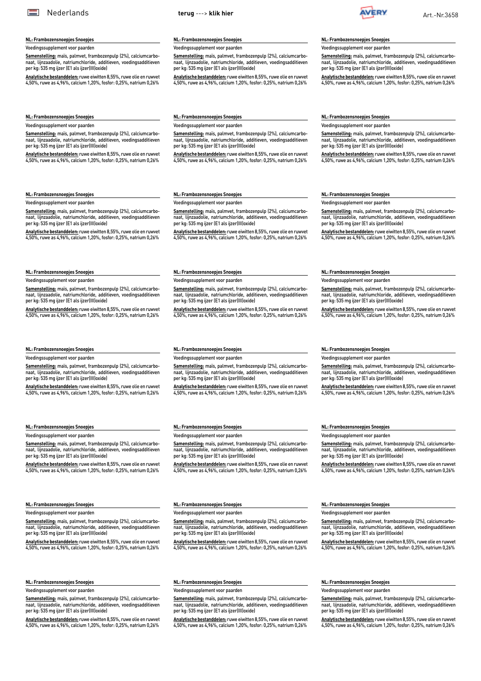### <span id="page-5-0"></span>**NL: Frambozensnoepjes Snoepjes**

Voedingssupplement voor paarden

**Samenstelling:** maïs, palmvet, frambozenpulp (2%), calciumcarbonaat, lijnzaadolie, natriumchloride, additieven, voedingsadditieven per kg: 535 mg ijzer (E1 als ijzer(III)oxide)

**Analytische bestanddelen:** ruwe eiwitten 8,55%, ruwe olie en ruwvet 4,50%, ruwe as 4,96%, calcium 1,20%, fosfor: 0,25%, natrium 0,26%

**NL: Frambozensnoepjes Snoepjes**

Voedingssupplement voor paarden **Samenstelling:** maïs, palmvet, frambozenpulp (2%), calciumcarbonaat, lijnzaadolie, natriumchloride, additieven, voedingsadditieven per kg: 535 mg ijzer (E1 als ijzer(III)oxide)

**Analytische bestanddelen:** ruwe eiwitten 8,55%, ruwe olie en ruwvet 4,50%, ruwe as 4,96%, calcium 1,20%, fosfor: 0,25%, natrium 0,26%

**Samenstelling:** maïs, palmvet, frambozenpulp (2%), calciumcarbonaat, lijnzaadolie, natriumchloride, additieven, voedingsadditieven

**Analytische bestanddelen:** ruwe eiwitten 8,55%, ruwe olie en ruwvet 4,50%, ruwe as 4,96%, calcium 1,20%, fosfor: 0,25%, natrium 0,26%

Voedingssupplement voor paarden

**Samenstelling:** maïs, palmvet, frambozenpulp (2%), calciumcarbonaat, lijnzaadolie, natriumchloride, additieven, voedingsadditieven per kg: 535 mg ijzer (E1 als ijzer(III)oxide)

**Analytische bestanddelen:** ruwe eiwitten 8,55%, ruwe olie en ruwvet 4,50%, ruwe as 4,96%, calcium 1,20%, fosfor: 0,25%, natrium 0,26%

Voedingssupplement voor paarden

**Samenstelling:** maïs, palmvet, frambozenpulp (2%), calciumcarbonaat, lijnzaadolie, natriumchloride, additieven, voedingsadditieven per kg: 535 mg ijzer (E1 als ijzer(III)oxide)

**Analytische bestanddelen:** ruwe eiwitten 8,55%, ruwe olie en ruwvet 4,50%, ruwe as 4,96%, calcium 1,20%, fosfor: 0,25%, natrium 0,26%

# **NL: Frambozensnoepjes Snoepjes**

Voedingssupplement voor paarden

**Samenstelling:** maïs, palmvet, frambozenpulp (2%), calciumcarbonaat, lijnzaadolie, natriumchloride, additieven, voedingsadditieven per kg: 535 mg ijzer (E1 als ijzer(III)oxide)

**Analytische bestanddelen:** ruwe eiwitten 8,55%, ruwe olie en ruwvet 4,50%, ruwe as 4,96%, calcium 1,20%, fosfor: 0,25%, natrium 0,26%

#### **NL: Frambozensnoepjes Snoepjes**

Voedingssupplement voor paarden

**Samenstelling:** maïs, palmvet, frambozenpulp (2%), calciumcarbonaat, lijnzaadolie, natriumchloride, additieven, voedingsadditieven per kg: 535 mg ijzer (E1 als ijzer(III)oxide)

**Analytische bestanddelen:** ruwe eiwitten 8,55%, ruwe olie en ruwvet 4,50%, ruwe as 4,96%, calcium 1,20%, fosfor: 0,25%, natrium 0,26%

#### **NL: Frambozensnoepjes Snoepjes**

Voedingssupplement voor paarden

**Samenstelling:** maïs, palmvet, frambozenpulp (2%), calciumcarbonaat, lijnzaadolie, natriumchloride, additieven, voedingsadditieven per kg: 535 mg ijzer (E1 als ijzer(III)oxide)

**Analytische bestanddelen:** ruwe eiwitten 8,55%, ruwe olie en ruwvet 4,50%, ruwe as 4,96%, calcium 1,20%, fosfor: 0,25%, natrium 0,26%

### **NL: Frambozensnoepjes Snoepjes**

edingssupplement voor paarden **Samenstelling:** maïs, palmvet, frambozenpulp (2%), calciumcarbo-

naat, lijnzaadolie, natriumchloride, additieven, voedingsadditieven per kg: 535 mg ijzer (E1 als ijzer(III)oxide)

**Analytische bestanddelen:** ruwe eiwitten 8,55%, ruwe olie en ruwvet 4,50%, ruwe as 4,96%, calcium 1,20%, fosfor: 0,25%, natrium 0,26%

#### **NL: Frambozensnoepjes Snoepjes**

edingssupplement voor paarden

**Samenstelling:** maïs, palmvet, frambozenpulp (2%), calciumcarbonaat, lijnzaadolie, natriumchloride, additieven, voedingsadditieven per kg: 535 mg ijzer (E1 als ijzer(III)oxide)

**Analytische bestanddelen:** ruwe eiwitten 8,55%, ruwe olie en ruwvet 4,50%, ruwe as 4,96%, calcium 1,20%, fosfor: 0,25%, natrium 0,26%

#### **NL: Frambozensnoepjes Snoepjes** Voedingssupplement voor paarden

**Samenstelling:** maïs, palmvet, frambozenpulp (2%), calciumcarbonaat, lijnzaadolie, natriumchloride, additieven, voedingsadditieven per kg: 535 mg ijzer (E1 als ijzer(III)oxide)

**Analytische bestanddelen:** ruwe eiwitten 8,55%, ruwe olie en ruwvet 4,50%, ruwe as 4,96%, calcium 1,20%, fosfor: 0,25%, natrium 0,26%

#### **NL: Frambozensnoepjes Snoepjes**

**NL: Frambozensnoepjes Snoepjes** Voedingssupplement voor paarden

per kg: 535 mg ijzer (E1 als ijzer(III)oxide)

Voedingssupplement voor paarden

**Samenstelling:** maïs, palmvet, frambozenpulp (2%), calciumcarbonaat, lijnzaadolie, natriumchloride, additieven, voedingsadditieven per kg: 535 mg ijzer (E1 als ijzer(III)oxide)

**Analytische bestanddelen:** ruwe eiwitten 8,55%, ruwe olie en ruwvet 4,50%, ruwe as 4,96%, calcium 1,20%, fosfor: 0,25%, natrium 0,26%

Voedingssupplement voor paarden

naat, lijnzaadolie, natriumchloride, additieven, voedingsadditieven per kg: 535 mg ijzer (E1 als ijzer(III)oxide)

**Analytische bestanddelen:** ruwe eiwitten 8,55%, ruwe olie en ruwvet 4,50%, ruwe as 4,96%, calcium 1,20%, fosfor: 0,25%, natrium 0,26%

**NL: Frambozensnoepjes Snoepjes**

Voedingssupplement voor paarden

**NL: Frambozensnoepjes Snoepjes** Voedingssupplement voor paarden

per kg: 535 mg ijzer (E1 als ijzer(III)oxide)

**Samenstelling:** maïs, palmvet, frambozenpulp (2%), calciumcarbonaat, lijnzaadolie, natriumchloride, additieven, voedingsadditieven per kg: 535 mg ijzer (E1 als ijzer(III)oxide)

**Analytische bestanddelen:** ruwe eiwitten 8,55%, ruwe olie en ruwvet 4,50%, ruwe as 4,96%, calcium 1,20%, fosfor: 0,25%, natrium 0,26%

**Samenstelling:** maïs, palmvet, frambozenpulp (2%), calciumcarbonaat, lijnzaadolie, natriumchloride, additieven, voedingsadditieven

**Analytische bestanddelen:** ruwe eiwitten 8,55%, ruwe olie en ruwvet 4,50%, ruwe as 4,96%, calcium 1,20%, fosfor: 0,25%, natrium 0,26%

Voedingssupplement voor paarden **Samenstelling:** maïs, palmvet, frambozenpulp (2%), calciumcarbonaat, lijnzaadolie, natriumchloride, additieven, voedingsadditieven

per kg: 535 mg ijzer (E1 als ijzer(III)oxide)

**NL: Frambozensnoepjes Snoepjes**

**NL: Frambozensnoepjes Snoepjes**

Voedingssupplement voor paarden

**Samenstelling:** maïs, palmvet, frambozenpulp (2%), calciumcarbonaat, lijnzaadolie, natriumchloride, additieven, voedingsadditieven per kg: 535 mg ijzer (E1 als ijzer(III)oxide)

**Analytische bestanddelen:** ruwe eiwitten 8,55%, ruwe olie en ruwvet 4,50%, ruwe as 4,96%, calcium 1,20%, fosfor: 0,25%, natrium 0,26%

**Analytische bestanddelen:** ruwe eiwitten 8,55%, ruwe olie en ruwvet 4,50%, ruwe as 4,96%, calcium 1,20%, fosfor: 0,25%, natrium 0,26%

### **NL: Frambozensnoepjes Snoepjes**

Voedingssupplement voor paarden

**Samenstelling:** maïs, palmvet, frambozenpulp (2%), calciumcarbonaat, lijnzaadolie, natriumchloride, additieven, voedingsadditieven per kg: 535 mg ijzer (E1 als ijzer(III)oxide)

**Analytische bestanddelen:** ruwe eiwitten 8,55%, ruwe olie en ruwvet 4,50%, ruwe as 4,96%, calcium 1,20%, fosfor: 0,25%, natrium 0,26%

**NL: Frambozensnoepjes Snoepjes**

Voedingssupplement voor paarden

**Samenstelling:** maïs, palmvet, frambozenpulp (2%), calciumcarbonaat, lijnzaadolie, natriumchloride, additieven, voedingsadditieven per kg: 535 mg ijzer (E1 als ijzer(III)oxide)

**Analytische bestanddelen:** ruwe eiwitten 8,55%, ruwe olie en ruwvet 4,50%, ruwe as 4,96%, calcium 1,20%, fosfor: 0,25%, natrium 0,26%

**NL: Frambozensnoepjes Snoepjes**

Voedingssupplement voor paarden

**Samenstelling:** maïs, palmvet, frambozenpulp (2%), calciumcarbonaat, lijnzaadolie, natriumchloride, additieven, voedingsadditieven per kg: 535 mg ijzer (E1 als ijzer(III)oxide)

**Analytische bestanddelen:** ruwe eiwitten 8,55%, ruwe olie en ruwvet 4,50%, ruwe as 4,96%, calcium 1,20%, fosfor: 0,25%, natrium 0,26%

**NL: Frambozensnoepjes Snoepjes**

Voedingssupplement voor paarden

**Samenstelling:** maïs, palmvet, frambozenpulp (2%), calciumcarbonaat, lijnzaadolie, natriumchloride, additieven, voedingsadditieven per kg: 535 mg ijzer (E1 als ijzer(III)oxide)

**Analytische bestanddelen:** ruwe eiwitten 8,55%, ruwe olie en ruwvet 4,50%, ruwe as 4,96%, calcium 1,20%, fosfor: 0,25%, natrium 0,26%

# **NL: Frambozensnoepjes Snoepjes**

**Samenstelling:** maïs, palmvet, frambozenpulp (2%), calciumcarbo-

# **NL: Frambozensnoepjes Snoepjes**

Voedingssupplement voor paarden

**Samenstelling:** maïs, palmvet, frambozenpulp (2%), calciumcarbonaat, lijnzaadolie, natriumchloride, additieven, voedingsadditieven per kg: 535 mg ijzer (E1 als ijzer(III)oxide)

**Analytische bestanddelen:** ruwe eiwitten 8,55%, ruwe olie en ruwvet 4,50%, ruwe as 4,96%, calcium 1,20%, fosfor: 0,25%, natrium 0,26%

# **Samenstelling:** maïs, palmvet, frambozenpulp (2%), calciumcarbonaat, lijnzaadolie, natriumchloride, additieven, voedingsadditieven per kg: 535 mg ijzer (E1 als ijzer(III)oxide)

**NL: Frambozensnoepjes Snoepjes** Voedingssupplement voor paarden

**NL: Frambozensnoepjes Snoepjes** Voedingssupplement voor paarden

per kg: 535 mg ijzer (E1 als ijzer(III)oxide)

**Analytische bestanddelen:** ruwe eiwitten 8,55%, ruwe olie en ruwvet 4,50%, ruwe as 4,96%, calcium 1,20%, fosfor: 0,25%, natrium 0,26%

**Samenstelling:** maïs, palmvet, frambozenpulp (2%), calciumcarbonaat, lijnzaadolie, natriumchloride, additieven, voedingsadditieven

**Analytische bestanddelen:** ruwe eiwitten 8,55%, ruwe olie en ruwvet 4,50%, ruwe as 4,96%, calcium 1,20%, fosfor: 0,25%, natrium 0,26%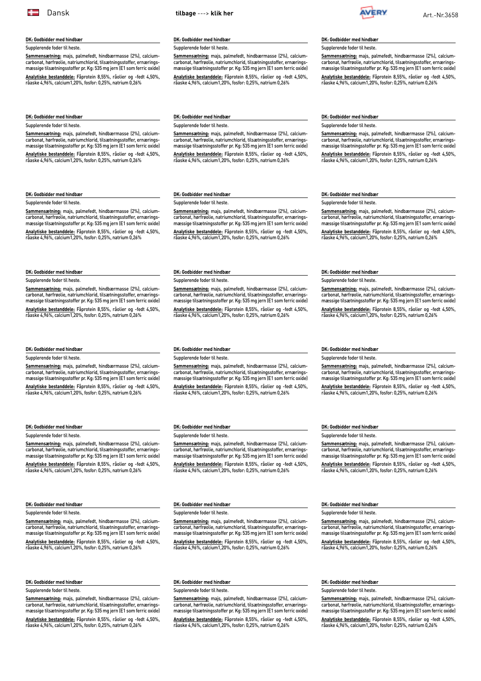### <span id="page-6-0"></span>**DK: Godbidder med hindbær**

Supplerende foder til heste.

**Sammensætning:** majs, palmefedt, hindbærmasse (2%), calciumcarbonat, hørfrøolie, natriumchlorid, tilsætningsstoffer, ernæringsmæssige tilsætningsstoffer pr. Kg: 535 mg jern (E1 som ferric oxide) **Analytiske bestanddele:** Fåprotein 8,55%, råolier og -fedt 4,50%,

råaske 4,96%, calcium1,20%, fosfor: 0,25%, natrium 0,26%

#### **DK: Godbidder med hindbær**

Supplerende foder til heste.

**Sammensætning:** majs, palmefedt, hindbærmasse (2%), calciumcarbonat, hørfrøolie, natriumchlorid, tilsætningsstoffer, ernæringsmæssige tilsætningsstoffer pr. Kg: 535 mg jern (E1 som ferric oxide) **Analytiske bestanddele:** Fåprotein 8,55%, råolier og -fedt 4,50%, råaske 4,96%, calcium1,20%, fosfor: 0,25%, natrium 0,26%

### **DK: Godbidder med hindbær**

Supplerende foder til heste.

#### **Sammensætning:** majs, palmefedt, hindbærmasse (2%), calciumcarbonat, hørfrøolie, natriumchlorid, tilsætningsstoffer, ernæringsmæssige tilsætningsstoffer pr. Kg: 535 mg jern (E1 som ferric oxide) **Analytiske bestanddele:** Fåprotein 8,55%, råolier og -fedt 4,50%, råaske 4,96%, calcium1,20%, fosfor: 0,25%, natrium 0,26%

## **DK: Godbidder med hindbær**

#### Supplerende foder til heste.

**Sammensætning:** majs, palmefedt, hindbærmasse (2%), calciumcarbonat, hørfrøolie, natriumchlorid, tilsætningsstoffer, ernæringsmæssige tilsætningsstoffer pr. Kg: 535 mg jern (E1 som ferric oxide)

**Analytiske bestanddele:** Fåprotein 8,55%, råolier og -fedt 4,50%, råaske 4,96%, calcium1,20%, fosfor: 0,25%, natrium 0,26%

#### **DK: Godbidder med hindbær**

#### Supplerende foder til heste.

**Sammensætning:** majs, palmefedt, hindbærmasse (2%), calciumcarbonat, hørfrøolie, natriumchlorid, tilsætningsstoffer, ernæringsmæssige tilsætningsstoffer pr. Kg: 535 mg jern (E1 som ferric oxide) **Analytiske bestanddele:** Fåprotein 8,55%, råolier og -fedt 4,50%,

råaske 4,96%, calcium1,20%, fosfor: 0,25%, natrium 0,26%

#### **DK: Godbidder med hindbær** Supplerende foder til heste.

**Sammensætning:** majs, palmefedt, hindbærmasse (2%), calciumcarbonat, hørfrøolie, natriumchlorid, tilsætningsstoffer, ernæringsmæssige tilsætningsstoffer pr. Kg: 535 mg jern (E1 som ferric oxide) **Analytiske bestanddele:** Fåprotein 8,55%, råolier og -fedt 4,50%, råaske 4,96%, calcium1,20%, fosfor: 0,25%, natrium 0,26%

#### **DK: Godbidder med hindbær**

#### Supplerende foder til heste.

**DK: Godbidder med hindbær** Supplerende foder til heste.

**Sammensætning:** majs, palmefedt, hindbærmasse (2%), calciumcarbonat, hørfrøolie, natriumchlorid, tilsætningsstoffer, ernæringsmæssige tilsætningsstoffer pr. Kg: 535 mg jern (E1 som ferric oxide) **Analytiske bestanddele:** Fåprotein 8,55%, råolier og -fedt 4,50%, råaske 4,96%, calcium1,20%, fosfor: 0,25%, natrium 0,26%

# **DK: Godbidder med hindbær**

### Supplerende foder til heste.

**Sammensætning:** majs, palmefedt, hindbærmasse (2%), calciumcarbonat, hørfrøolie, natriumchlorid, tilsætningsstoffer, ernæringsmæssige tilsætningsstoffer pr. Kg: 535 mg jern (E1 som ferric oxide) **Analytiske bestanddele:** Fåprotein 8,55%, råolier og -fedt 4,50%,

råaske 4,96%, calcium1,20%, fosfor: 0,25%, natrium 0,26%

**DK: Godbidder med hindbær**

#### Supplerende foder til heste.

**Sammensætning:** majs, palmefedt, hindbærmasse (2%), calciumcarbonat, hørfrøolie, natriumchlorid, tilsætningsstoffer, ernæringsmæssige tilsætningsstoffer pr. Kg: 535 mg jern (E1 som ferric oxide) **Analytiske bestanddele:** Fåprotein 8,55%, råolier og -fedt 4,50%, råaske 4,96%, calcium1,20%, fosfor: 0,25%, natrium 0,26%

#### **DK: Godbidder med hindbær**

#### Supplerende foder til heste.

**Sammensætning:** majs, palmefedt, hindbærmasse (2%), calciumcarbonat, hørfrøolie, natriumchlorid, tilsætningsstoffer, ernæringsmæssige tilsætningsstoffer pr. Kg: 535 mg jern (E1 som ferric oxide) **Analytiske bestanddele:** Fåprotein 8,55%, råolier og -fedt 4,50%, råaske 4,96%, calcium1,20%, fosfor: 0,25%, natrium 0,26%

carbonat, hørfrøolie, natriumchlorid, tilsætningsstoffer, ernærings-

råaske 4,96%, calcium1,20%, fosfor: 0,25%, natrium 0,26%

#### **DK: Godbidder med hindbær**

carbonat, hørfrøolie, natriumchlorid, tilsætningsstoffer, ernæringsmæssige tilsætningsstoffer pr. Kg: 535 mg jern (E1 som ferric oxide) **Analytiske bestanddele:** Fåprotein 8,55%, råolier og -fedt 4,50%,

råaske 4,96%, calcium1,20%, fosfor: 0,25%, natrium 0,26%

### **DK: Godbidder med hindbær**

### Supplerende foder til heste.

**Sammensætning:** majs, palmefedt, hindbærmasse (2%), calciumcarbonat, hørfrøolie, natriumchlorid, tilsætningsstoffer, ernæringsmæssige tilsætningsstoffer pr. Kg: 535 mg jern (E1 som ferric oxide) **Analytiske bestanddele:** Fåprotein 8,55%, råolier og -fedt 4,50%, råaske 4,96%, calcium1,20%, fosfor: 0,25%, natrium 0,26%

#### **DK: Godbidder med hindbær**

#### Supplerende foder til heste.

**Sammensætning:** majs, palmefedt, hindbærmasse (2%), calciumcarbonat, hørfrøolie, natriumchlorid, tilsætningsstoffer, ernæringsmæssige tilsætningsstoffer pr. Kg: 535 mg jern (E1 som ferric oxide) **Analytiske bestanddele:** Fåprotein 8,55%, råolier og -fedt 4,50%, råaske 4,96%, calcium1,20%, fosfor: 0,25%, natrium 0,26%

**Sammensætning:** majs, palmefedt, hindbærmasse (2%), calcium-**Carbonat, hørfrøolie, natriumchlorid, tilsætningsstoffer, ernærings**mæssige tilsætningsstoffer pr. Kg: 535 mg jern (E1 som ferric oxide)

**Analytiske bestanddele:** Fåprotein 8,55%, råolier og -fedt 4,50%, råaske 4,96%, calcium1,20%, fosfor: 0,25%, natrium 0,26%

#### **DK: Godbidder med hindbær**

## Supplerende foder til heste.

# **DK: Godbidder med hindbær**

Supplerende foder til heste.

**Sammensætning:** majs, palmefedt, hindbærmasse (2%), calciumcarbonat, hørfrøolie, natriumchlorid, tilsætningsstoffer, ernæringsmæssige tilsætningsstoffer pr. Kg: 535 mg jern (E1 som ferric oxide) **Analytiske bestanddele:** Fåprotein 8,55%, råolier og -fedt 4,50%,

råaske 4,96%, calcium1,20%, fosfor: 0,25%, natrium 0,26%

#### **DK: Godbidder med hindbær**

#### Supplerende foder til heste.

**Sammensætning:** majs, palmefedt, hindbærmasse (2%), calciumcarbonat, hørfrøolie, natriumchlorid, tilsætningsstoffer, ernæringsmæssige tilsætningsstoffer pr. Kg: 535 mg jern (E1 som ferric oxide) **Analytiske bestanddele:** Fåprotein 8,55%, råolier og -fedt 4,50%, råaske 4,96%, calcium1,20%, fosfor: 0,25%, natrium 0,26%

#### **DK: Godbidder med hindbær**

Supplerende foder til heste.

**Sammensætning:** majs, palmefedt, hindbærmasse (2%), calciumcarbonat, hørfrøolie, natriumchlorid, tilsætningsstoffer, ernæringsmæssige tilsætningsstoffer pr. Kg: 535 mg jern (E1 som ferric oxide) **Analytiske bestanddele:** Fåprotein 8,55%, råolier og -fedt 4,50%, råaske 4,96%, calcium1,20%, fosfor: 0,25%, natrium 0,26%

#### **DK: Godbidder med hindbær**

#### Supplerende foder til heste.

**Sammensætning:** majs, palmefedt, hindbærmasse (2%), calciumcarbonat, hørfrøolie, natriumchlorid, tilsætningsstoffer, ernæringsmæssige tilsætningsstoffer pr. Kg: 535 mg jern (E1 som ferric oxide)

**Analytiske bestanddele:** Fåprotein 8,55%, råolier og -fedt 4,50%, råaske 4,96%, calcium1,20%, fosfor: 0,25%, natrium 0,26%

#### **DK: Godbidder med hindbær**

Supplerende foder til heste.

**Sammensætning:** majs, palmefedt, hindbærmasse (2%), calciumcarbonat, hørfrøolie, natriumchlorid, tilsætningsstoffer, ernæringsmæssige tilsætningsstoffer pr. Kg: 535 mg jern (E1 som ferric oxide) **Analytiske bestanddele:** Fåprotein 8,55%, råolier og -fedt 4,50%,

råaske 4,96%, calcium1,20%, fosfor: 0,25%, natrium 0,26%

#### **DK: Godbidder med hindbær**

**DK: Godbidder med hindbær** Supplerende foder til heste.

Supplerende foder til heste.

**Sammensætning:** majs, palmefedt, hindbærmasse (2%), calcium-**Carbonat, hørfrøolie, natriumchlorid, tilsætningsstoffer, ernærings**mæssige tilsætningsstoffer pr. Kg: 535 mg jern (E1 som ferric oxide) **Analytiske bestanddele:** Fåprotein 8,55%, råolier og -fedt 4,50%, råaske 4,96%, calcium1,20%, fosfor: 0,25%, natrium 0,26%

**Sammensætning:** majs, palmefedt, hindbærmasse (2%), calciumcarbonat, hørfrøolie, natriumchlorid, tilsætningsstoffer, ernæringsmæssige tilsætningsstoffer pr. Kg: 535 mg jern (E1 som ferric oxide) **Analytiske bestanddele:** Fåprotein 8,55%, råolier og -fedt 4,50%, råaske 4,96%, calcium1,20%, fosfor: 0,25%, natrium 0,26%

**Sammensætning:** majs, palmefedt, hindbærmasse (2%), calciumcarbonat, hørfrøolie, natriumchlorid, tilsætningsstoffer, ernæringsmæssige tilsætningsstoffer pr. Kg: 535 mg jern (E1 som ferric oxide) **Analytiske bestanddele:** Fåprotein 8,55%, råolier og -fedt 4,50%, råaske 4,96%, calcium1,20%, fosfor: 0,25%, natrium 0,26%

# **DK: Godbidder med hindbær**

Supplerende foder til heste.

**Sammensætning:** majs, palmefedt, hindbærmasse (2%), calciumcarbonat, hørfrøolie, natriumchlorid, tilsætningsstoffer, ernæringsmæssige tilsætningsstoffer pr. Kg: 535 mg jern (E1 som ferric oxide) **Analytiske bestanddele:** Fåprotein 8,55%, råolier og -fedt 4,50%, råaske 4,96%, calcium1,20%, fosfor: 0,25%, natrium 0,26%

# **DK: Godbidder med hindbær**

**Sammensætning:** majs, palmefedt, hindbærmasse (2%), calciummæssige tilsætningsstoffer pr. Kg: 535 mg jern (E1 som ferric oxide)

**Analytiske bestanddele:** Fåprotein 8,55%, råolier og -fedt 4,50%,

# Supplerende foder til heste.

**Sammensætning:** majs, palmefedt, hindbærmasse (2%), calcium-

# Supplerende foder til heste.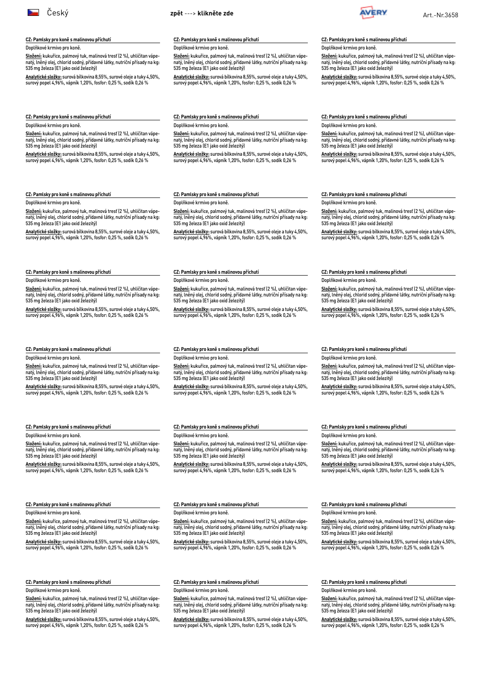

#### **CZ: Pamlsky pro koně s malinovou příchutí**

Doplňkové krmivo pro koně.

**Složení:** kukuřice, palmový tuk, malinová tresť (2 %), uhličitan vápenatý, lněný olej, chlorid sodný, přídavné látky, nutriční přísady na kg: 535 mg železa (E1 jako oxid železitý)

**Analytické složky:** surová bílkovina 8,55%, surové oleje a tuky 4,50%, surový popel 4,96%, vápník 1,20%, fosfor: 0,25 %, sodík 0,26 %

<span id="page-7-0"></span>



#### **CZ: Pamlsky pro koně s malinovou příchutí**

Doplňkové krmivo pro koně.

**Složení:** kukuřice, palmový tuk, malinová tresť (2 %), uhličitan vápenatý, lněný olej, chlorid sodný, přídavné látky, nutriční přísady na kg: 535 mg železa (E1 jako oxid železitý)

**Analytické složky:** surová bílkovina 8,55%, surové oleje a tuky 4,50%, surový popel 4,96%, vápník 1,20%, fosfor: 0,25 %, sodík 0,26 %

**Složení:** kukuřice, palmový tuk, malinová tresť (2 %), uhličitan vápenatý, lněný olej, chlorid sodný, přídavné látky, nutriční přísady na kg:

**Analytické složky:** surová bílkovina 8,55%, surové oleje a tuky 4,50%, surový popel 4,96%, vápník 1,20%, fosfor: 0,25 %, sodík 0,26 %

### **CZ: Pamlsky pro koně s malinovou příchutí**

Doplňkové krmivo pro koně.

**Složení:** kukuřice, palmový tuk, malinová tresť (2 %), uhličitan vápenatý, lněný olej, chlorid sodný, přídavné látky, nutriční přísady na kg: 535 mg železa (E1 jako oxid železitý)

**Analytické složky:** surová bílkovina 8,55%, surové oleje a tuky 4,50%, surový popel 4,96%, vápník 1,20%, fosfor: 0,25 %, sodík 0,26 %

#### **CZ: Pamlsky pro koně s malinovou příchutí**

Doplňkové krmivo pro koně.

**Složení:** kukuřice, palmový tuk, malinová tresť (2 %), uhličitan vápenatý, lněný olej, chlorid sodný, přídavné látky, nutriční přísady na kg: 535 mg železa (E1 jako oxid železitý)

**Analytické složky:** surová bílkovina 8,55%, surové oleje a tuky 4,50%, surový popel 4,96%, vápník 1,20%, fosfor: 0,25 %, sodík 0,26 %

#### **CZ: Pamlsky pro koně s malinovou příchutí**

Doplňkové krmivo pro koně.

**Složení:** kukuřice, palmový tuk, malinová tresť (2 %), uhličitan vápenatý, lněný olej, chlorid sodný, přídavné látky, nutriční přísady na kg: 535 mg železa (E1 jako oxid železitý)

**Analytické složky:** surová bílkovina 8,55%, surové oleje a tuky 4,50%, surový popel 4,96%, vápník 1,20%, fosfor: 0,25 %, sodík 0,26 %

#### **CZ: Pamlsky pro koně s malinovou příchutí**

Doplňkové krmivo pro koně.

**Složení:** kukuřice, palmový tuk, malinová tresť (2 %), uhličitan vápenatý, lněný olej, chlorid sodný, přídavné látky, nutriční přísady na kg: 535 mg železa (E1 jako oxid železitý)

**Analytické složky:** surová bílkovina 8,55%, surové oleje a tuky 4,50%, surový popel 4,96%, vápník 1,20%, fosfor: 0,25 %, sodík 0,26 %

# **CZ: Pamlsky pro koně s malinovou příchutí**

Doplňkové krmivo pro koně.

**Složení:** kukuřice, palmový tuk, malinová tresť (2 %), uhličitan vápenatý, lněný olej, chlorid sodný, přídavné látky, nutriční přísady na kg: 535 mg železa (E1 jako oxid železitý)

**Analytické složky:** surová bílkovina 8,55%, surové oleje a tuky 4,50%, surový popel 4,96%, vápník 1,20%, fosfor: 0,25 %, sodík 0,26 %

#### **CZ: Pamlsky pro koně s malinovou příchutí**

Doplňkové krmivo pro koně.

**Složení:** kukuřice, palmový tuk, malinová tresť (2 %), uhličitan vápenatý, lněný olej, chlorid sodný, přídavné látky, nutriční přísady na kg: 535 mg železa (E1 jako oxid železitý)

**Analytické složky:** surová bílkovina 8,55%, surové oleje a tuky 4,50%, surový popel 4,96%, vápník 1,20%, fosfor: 0,25 %, sodík 0,26 %

#### **CZ: Pamlsky pro koně s malinovou příchutí**

Doplňkové krmivo pro koně.

**Složení:** kukuřice, palmový tuk, malinová tresť (2 %), uhličitan vápenatý, lněný olej, chlorid sodný, přídavné látky, nutriční přísady na kg: 535 mg železa (E1 jako oxid železitý)

**Analytické složky:** surová bílkovina 8,55%, surové oleje a tuky 4,50%, surový popel 4,96%, vápník 1,20%, fosfor: 0,25 %, sodík 0,26 %

#### **CZ: Pamlsky pro koně s malinovou příchutí**

Doplňkové krmivo pro koně.

**Složení:** kukuřice, palmový tuk, malinová tresť (2 %), uhličitan vápenatý, lněný olej, chlorid sodný, přídavné látky, nutriční přísady na kg: 535 mg železa (E1 jako oxid železitý)

**Analytické složky:** surová bílkovina 8,55%, surové oleje a tuky 4,50%, surový popel 4,96%, vápník 1,20%, fosfor: 0,25 %, sodík 0,26 %

#### **CZ: Pamlsky pro koně s malinovou příchutí**

Doplňkové krmivo pro koně.

**Složení:** kukuřice, palmový tuk, malinová tresť (2 %), uhličitan vápenatý, lněný olej, chlorid sodný, přídavné látky, nutriční přísady na kg: 535 mg železa (E1 jako oxid železitý)

**Analytické složky:** surová bílkovina 8,55%, surové oleje a tuky 4,50%, surový popel 4,96%, vápník 1,20%, fosfor: 0,25 %, sodík 0,26 %

#### **CZ: Pamlsky pro koně s malinovou příchutí**

Doplňkové krmivo pro koně.

**Složení:** kukuřice, palmový tuk, malinová tresť (2 %), uhličitan vápenatý, lněný olej, chlorid sodný, přídavné látky, nutriční přísady na kg: 535 mg železa (E1 jako oxid železitý)

**Analytické složky:** surová bílkovina 8,55%, surové oleje a tuky 4,50%, surový popel 4,96%, vápník 1,20%, fosfor: 0,25 %, sodík 0,26 %

#### **CZ: Pamlsky pro koně s malinovou příchutí**

Doplňkové krmivo pro koně.

**Složení:** kukuřice, palmový tuk, malinová tresť (2 %), uhličitan vápenatý, lněný olej, chlorid sodný, přídavné látky, nutriční přísady na kg: 535 mg železa (E1 jako oxid železitý)

**Analytické složky:** surová bílkovina 8,55%, surové oleje a tuky 4,50%, surový popel 4,96%, vápník 1,20%, fosfor: 0,25 %, sodík 0,26 %

#### **CZ: Pamlsky pro koně s malinovou příchutí**

Doplňkové krmivo pro koně.

**Složení:** kukuřice, palmový tuk, malinová tresť (2 %), uhličitan vápenatý, lněný olej, chlorid sodný, přídavné látky, nutriční přísady na kg: 535 mg železa (E1 jako oxid železitý)

**Analytické složky:** surová bílkovina 8,55%, surové oleje a tuky 4,50%, surový popel 4,96%, vápník 1,20%, fosfor: 0,25 %, sodík 0,26 %

### **CZ: Pamlsky pro koně s malinovou příchutí**

Doplňkové krmivo pro koně.

**Složení:** kukuřice, palmový tuk, malinová tresť (2 %), uhličitan vápenatý, lněný olej, chlorid sodný, přídavné látky, nutriční přísady na kg: 535 mg železa (E1 jako oxid železitý)

**Analytické složky:** surová bílkovina 8,55%, surové oleje a tuky 4,50%, surový popel 4,96%, vápník 1,20%, fosfor: 0,25 %, sodík 0,26 %

#### **CZ: Pamlsky pro koně s malinovou příchutí**

Doplňkové krmivo pro koně.

**Složení:** kukuřice, palmový tuk, malinová tresť (2 %), uhličitan vápenatý, lněný olej, chlorid sodný, přídavné látky, nutriční přísady na kg: 535 mg železa (E1 jako oxid železitý)

**Analytické složky:** surová bílkovina 8,55%, surové oleje a tuky 4,50%, surový popel 4,96%, vápník 1,20%, fosfor: 0,25 %, sodík 0,26 %

#### **CZ: Pamlsky pro koně s malinovou příchutí**

Doplňkové krmivo pro koně.

**Složení:** kukuřice, palmový tuk, malinová tresť (2 %), uhličitan vápenatý, lněný olej, chlorid sodný, přídavné látky, nutriční přísady na kg: 535 mg železa (E1 jako oxid železitý)

**Analytické složky:** surová bílkovina 8,55%, surové oleje a tuky 4,50%, surový popel 4,96%, vápník 1,20%, fosfor: 0,25 %, sodík 0,26 %

#### **CZ: Pamlsky pro koně s malinovou příchutí**

**CZ: Pamlsky pro koně s malinovou příchutí**

535 mg železa (E1 jako oxid železitý)

Doplňkové krmivo pro koně.

Doplňkové krmivo pro koně.

**Složení:** kukuřice, palmový tuk, malinová tresť (2 %), uhličitan vápenatý, lněný olej, chlorid sodný, přídavné látky, nutriční přísady na kg: 535 mg železa (E1 jako oxid železitý)

**Analytické složky:** surová bílkovina 8,55%, surové oleje a tuky 4,50%, surový popel 4,96%, vápník 1,20%, fosfor: 0,25 %, sodík 0,26 %

#### **CZ: Pamlsky pro koně s malinovou příchutí**

Doplňkové krmivo pro koně.

**Složení:** kukuřice, palmový tuk, malinová tresť (2 %), uhličitan vápenatý, lněný olej, chlorid sodný, přídavné látky, nutriční přísady na kg: 535 mg železa (E1 jako oxid železitý)

**Analytické složky:** surová bílkovina 8,55%, surové oleje a tuky 4,50%, surový popel 4,96%, vápník 1,20%, fosfor: 0,25 %, sodík 0,26 %

**CZ: Pamlsky pro koně s malinovou příchutí**

**CZ: Pamlsky pro koně s malinovou příchutí**

535 mg železa (E1 jako oxid železitý)

Doplňkové krmivo pro koně.

Doplňkové krmivo pro koně.

**Složení:** kukuřice, palmový tuk, malinová tresť (2 %), uhličitan vápenatý, lněný olej, chlorid sodný, přídavné látky, nutriční přísady na kg: 535 mg železa (E1 jako oxid železitý)

**Analytické složky:** surová bílkovina 8,55%, surové oleje a tuky 4,50%, surový popel 4,96%, vápník 1,20%, fosfor: 0,25 %, sodík 0,26 %

**CZ: Pamlsky pro koně s malinovou příchutí**

#### Doplňkové krmivo pro koně.

**Složení:** kukuřice, palmový tuk, malinová tresť (2 %), uhličitan vápenatý, lněný olej, chlorid sodný, přídavné látky, nutriční přísady na kg: 535 mg železa (E1 jako oxid železitý)

**Analytické složky:** surová bílkovina 8,55%, surové oleje a tuky 4,50%, <u>surový popel 4,96%,</u> vápník 1,20%, fosfor: 0,25 %, sodík 0,26 %

**CZ: Pamlsky pro koně s malinovou příchutí**

Doplňkové krmivo pro koně.

**Složení:** kukuřice, palmový tuk, malinová tresť (2 %), uhličitan vápenatý, lněný olej, chlorid sodný, přídavné látky, nutriční přísady na kg: 535 mg železa (E1 jako oxid železitý)

**Analytické složky:** surová bílkovina 8,55%, surové oleje a tuky 4,50%, surový popel 4,96%, vápník 1,20%, fosfor: 0,25 %, sodík 0,26 %

**Složení:** kukuřice, palmový tuk, malinová tresť (2 %), uhličitan vápenatý, lněný olej, chlorid sodný, přídavné látky, nutriční přísady na kg:

**Analytické složky:** surová bílkovina 8,55%, surové oleje a tuky 4,50%, surový popel 4,96%, vápník 1,20%, fosfor: 0,25 %, sodík 0,26 %